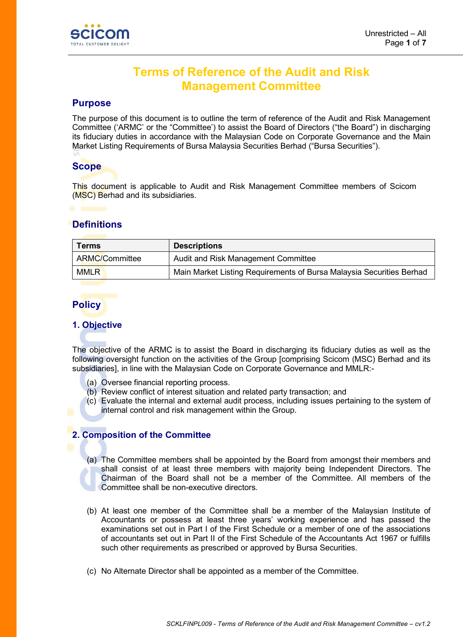

# **Terms of Reference of the Audit and Risk Management Committee**

#### **Purpose**

The purpose of this document is to outline the term of reference of the Audit and Risk Management Committee ('ARMC' or the "Committee') to assist the Board of Directors ("the Board") in discharging its fiduciary duties in accordance with the Malaysian Code on Corporate Governance and the Main Market Listing Requirements of Bursa Malaysia Securities Berhad ("Bursa Securities").

## **Scope**

This document is applicable to Audit and Risk Management Committee members of Scicom (MSC) Berhad and its subsidiaries.

# **Definitions**

| Terms          | <b>Descriptions</b>                                                  |
|----------------|----------------------------------------------------------------------|
| ARMC/Committee | Audit and Risk Management Committee                                  |
| <b>MMLR</b>    | Main Market Listing Requirements of Bursa Malaysia Securities Berhad |

# **Policy**

#### **1. Objective**

The objective of the ARMC is to assist the Board in discharging its fiduciary duties as well as the following oversight function on the activities of the Group [comprising Scicom (MSC) Berhad and its subsidiaries], in line with the Malaysian Code on Corporate Governance and MMLR:-

- (a) Oversee financial reporting process.
- (b) Review conflict of interest situation and related party transaction; and
- (c) Evaluate the internal and external audit process, including issues pertaining to the system of internal control and risk management within the Group.

# **2. Composition of the Committee**

- (a) The Committee members shall be appointed by the Board from amongst their members and shall consist of at least three members with majority being Independent Directors. The Chairman of the Board shall not be a member of the Committee. All members of the Committee shall be non-executive directors.
- (b) At least one member of the Committee shall be a member of the Malaysian Institute of Accountants or possess at least three years' working experience and has passed the examinations set out in Part I of the First Schedule or a member of one of the associations of accountants set out in Part II of the First Schedule of the Accountants Act 1967 or fulfills such other requirements as prescribed or approved by Bursa Securities.
- (c) No Alternate Director shall be appointed as a member of the Committee.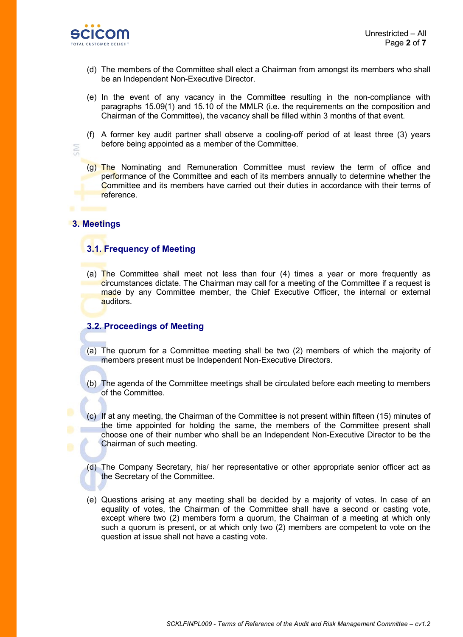

- (d) The members of the Committee shall elect a Chairman from amongst its members who shall be an Independent Non-Executive Director.
- (e) In the event of any vacancy in the Committee resulting in the non-compliance with paragraphs 15.09(1) and 15.10 of the MMLR (i.e. the requirements on the composition and Chairman of the Committee), the vacancy shall be filled within 3 months of that event.
- (f) A former key audit partner shall observe a cooling-off period of at least three (3) years before being appointed as a member of the Committee.
- (g) The Nominating and Remuneration Committee must review the term of office and performance of the Committee and each of its members annually to determine whether the Committee and its members have carried out their duties in accordance with their terms of reference.

## **3. Meetings**

# **3.1. Frequency of Meeting**

(a) The Committee shall meet not less than four (4) times a year or more frequently as circumstances dictate. The Chairman may call for a meeting of the Committee if a request is made by any Committee member, the Chief Executive Officer, the internal or external auditors.

# **3.2. Proceedings of Meeting**

- (a) The quorum for a Committee meeting shall be two (2) members of which the majority of members present must be Independent Non-Executive Directors.
- (b) The agenda of the Committee meetings shall be circulated before each meeting to members of the Committee.
- (c) If at any meeting, the Chairman of the Committee is not present within fifteen (15) minutes of the time appointed for holding the same, the members of the Committee present shall choose one of their number who shall be an Independent Non-Executive Director to be the Chairman of such meeting.
- (d) The Company Secretary, his/ her representative or other appropriate senior officer act as the Secretary of the Committee.
- (e) Questions arising at any meeting shall be decided by a majority of votes. In case of an equality of votes, the Chairman of the Committee shall have a second or casting vote, except where two (2) members form a quorum, the Chairman of a meeting at which only such a quorum is present, or at which only two (2) members are competent to vote on the question at issue shall not have a casting vote.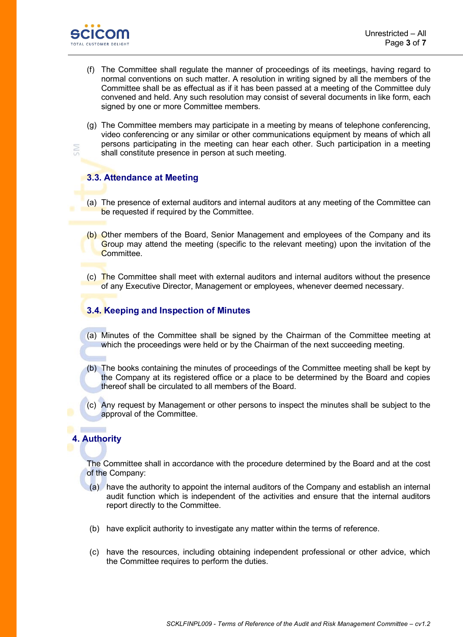

- (f) The Committee shall regulate the manner of proceedings of its meetings, having regard to normal conventions on such matter. A resolution in writing signed by all the members of the Committee shall be as effectual as if it has been passed at a meeting of the Committee duly convened and held. Any such resolution may consist of several documents in like form, each signed by one or more Committee members.
- (g) The Committee members may participate in a meeting by means of telephone conferencing, video conferencing or any similar or other communications equipment by means of which all persons participating in the meeting can hear each other. Such participation in a meeting shall constitute presence in person at such meeting.

# **3.3. Attendance at Meeting**

- (a) The presence of external auditors and internal auditors at any meeting of the Committee can be requested if required by the Committee.
- (b) Other members of the Board, Senior Management and employees of the Company and its Group may attend the meeting (specific to the relevant meeting) upon the invitation of the Committee.
- (c) The Committee shall meet with external auditors and internal auditors without the presence of any Executive Director, Management or employees, whenever deemed necessary.

# **3.4. Keeping and Inspection of Minutes**

- (a) Minutes of the Committee shall be signed by the Chairman of the Committee meeting at which the proceedings were held or by the Chairman of the next succeeding meeting.
- (b) The books containing the minutes of proceedings of the Committee meeting shall be kept by the Company at its registered office or a place to be determined by the Board and copies thereof shall be circulated to all members of the Board.
- (c) Any request by Management or other persons to inspect the minutes shall be subject to the approval of the Committee.

# **4. Authority**

The Committee shall in accordance with the procedure determined by the Board and at the cost of the Company:

- (a) have the authority to appoint the internal auditors of the Company and establish an internal audit function which is independent of the activities and ensure that the internal auditors report directly to the Committee.
- (b) have explicit authority to investigate any matter within the terms of reference.
- (c) have the resources, including obtaining independent professional or other advice, which the Committee requires to perform the duties.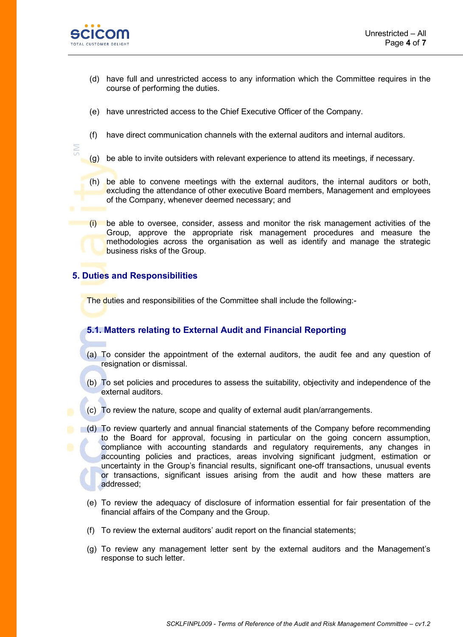

- (d) have full and unrestricted access to any information which the Committee requires in the course of performing the duties.
- (e) have unrestricted access to the Chief Executive Officer of the Company.
- (f) have direct communication channels with the external auditors and internal auditors.
- (g) be able to invite outsiders with relevant experience to attend its meetings, if necessary.
- (h) be able to convene meetings with the external auditors, the internal auditors or both, excluding the attendance of other executive Board members, Management and employees of the Company, whenever deemed necessary; and
- $(i)$  be able to oversee, consider, assess and monitor the risk management activities of the Group, approve the appropriate risk management procedures and measure the methodologies across the organisation as well as identify and manage the strategic business risks of the Group.

#### **5. Duties and Responsibilities**

The duties and responsibilities of the Committee shall include the following:-

# **5.1. Matters relating to External Audit and Financial Reporting**

- (a) To consider the appointment of the external auditors, the audit fee and any question of resignation or dismissal.
- (b) To set policies and procedures to assess the suitability, objectivity and independence of the external auditors.
- (c) To review the nature, scope and quality of external audit plan/arrangements.
- (d) To review quarterly and annual financial statements of the Company before recommending to the Board for approval, focusing in particular on the going concern assumption, compliance with accounting standards and regulatory requirements, any changes in accounting policies and practices, areas involving significant judgment, estimation or uncertainty in the Group's financial results, significant one-off transactions, unusual events or transactions, significant issues arising from the audit and how these matters are addressed;
	- (e) To review the adequacy of disclosure of information essential for fair presentation of the financial affairs of the Company and the Group.
	- (f) To review the external auditors' audit report on the financial statements;
	- (g) To review any management letter sent by the external auditors and the Management's response to such letter.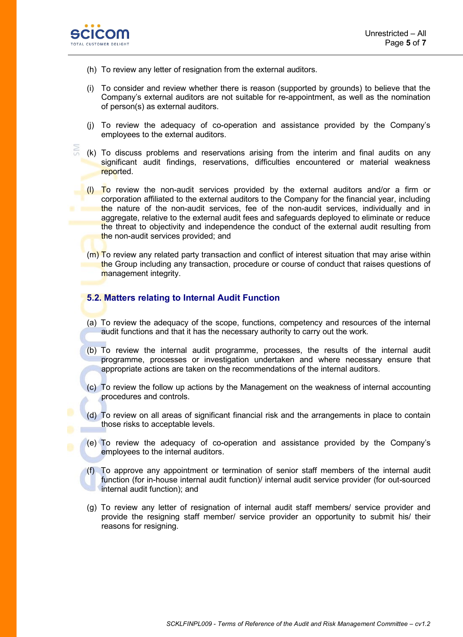

- (h) To review any letter of resignation from the external auditors.
- (i) To consider and review whether there is reason (supported by grounds) to believe that the Company's external auditors are not suitable for re-appointment, as well as the nomination of person(s) as external auditors.
- (j) To review the adequacy of co-operation and assistance provided by the Company's employees to the external auditors.
- (k) To discuss problems and reservations arising from the interim and final audits on any significant audit findings, reservations, difficulties encountered or material weakness reported.
- (I) To review the non-audit services provided by the external auditors and/or a firm or corporation affiliated to the external auditors to the Company for the financial year, including the nature of the non-audit services, fee of the non-audit services, individually and in aggregate, relative to the external audit fees and safeguards deployed to eliminate or reduce the threat to objectivity and independence the conduct of the external audit resulting from the non-audit services provided; and
- (m) To review any related party transaction and conflict of interest situation that may arise within the Group including any transaction, procedure or course of conduct that raises questions of management integrity.

#### **5.2. Matters relating to Internal Audit Function**

- (a) To review the adequacy of the scope, functions, competency and resources of the internal audit functions and that it has the necessary authority to carry out the work.
- (b) To review the internal audit programme, processes, the results of the internal audit programme, processes or investigation undertaken and where necessary ensure that appropriate actions are taken on the recommendations of the internal auditors.
- (c) To review the follow up actions by the Management on the weakness of internal accounting procedures and controls.
- (d) To review on all areas of significant financial risk and the arrangements in place to contain those risks to acceptable levels.
- (e) To review the adequacy of co-operation and assistance provided by the Company's employees to the internal auditors.
- (f) To approve any appointment or termination of senior staff members of the internal audit function (for in-house internal audit function)/ internal audit service provider (for out-sourced internal audit function); and
- (g) To review any letter of resignation of internal audit staff members/ service provider and provide the resigning staff member/ service provider an opportunity to submit his/ their reasons for resigning.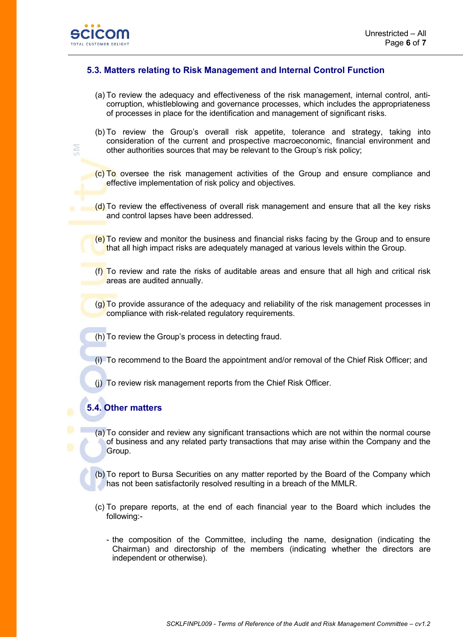

**SN** 

#### **5.3. Matters relating to Risk Management and Internal Control Function**

- (a) To review the adequacy and effectiveness of the risk management, internal control, anticorruption, whistleblowing and governance processes, which includes the appropriateness of processes in place for the identification and management of significant risks.
- (b) To review the Group's overall risk appetite, tolerance and strategy, taking into consideration of the current and prospective macroeconomic, financial environment and other authorities sources that may be relevant to the Group's risk policy;
- (c) To oversee the risk management activities of the Group and ensure compliance and effective implementation of risk policy and objectives.
- (d) To review the effectiveness of overall risk management and ensure that all the key risks and control lapses have been addressed.
- $(e)$  To review and monitor the business and financial risks facing by the Group and to ensure that all high impact risks are adequately managed at various levels within the Group.
- (f) To review and rate the risks of auditable areas and ensure that all high and critical risk areas are audited annually.
- $(g)$  To provide assurance of the adequacy and reliability of the risk management processes in compliance with risk-related regulatory requirements.
- (h) To review the Group's process in detecting fraud.
- (i) To recommend to the Board the appointment and/or removal of the Chief Risk Officer; and
- (j) To review risk management reports from the Chief Risk Officer.

# **5.4. Other matters**

- (a) To consider and review any significant transactions which are not within the normal course of business and any related party transactions that may arise within the Company and the Group.
- (b) To report to Bursa Securities on any matter reported by the Board of the Company which has not been satisfactorily resolved resulting in a breach of the MMLR.
- (c) To prepare reports, at the end of each financial year to the Board which includes the following:-
	- the composition of the Committee, including the name, designation (indicating the Chairman) and directorship of the members (indicating whether the directors are independent or otherwise).